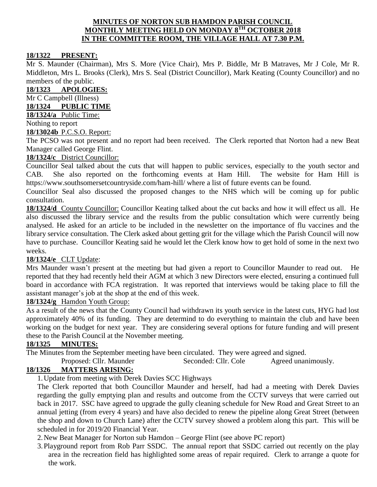#### **MINUTES OF NORTON SUB HAMDON PARISH COUNCIL MONTHLY MEETING HELD ON MONDAY 8 TH OCTOBER 2018 IN THE COMMITTEE ROOM, THE VILLAGE HALL AT 7.30 P.M.**

#### **18/1322 PRESENT:**

Mr S. Maunder (Chairman), Mrs S. More (Vice Chair), Mrs P. Biddle, Mr B Matraves, Mr J Cole, Mr R. Middleton, Mrs L. Brooks (Clerk), Mrs S. Seal (District Councillor), Mark Keating (County Councillor) and no members of the public.

**18/1323 APOLOGIES:**

Mr C Campbell (Illness)

**18/1324 PUBLIC TIME**

**18/1324/a** Public Time:

Nothing to report

#### **18/13024b** P.C.S.O. Report:

The PCSO was not present and no report had been received. The Clerk reported that Norton had a new Beat Manager called George Flint.

## **18/1324/c** District Councillor:

Councillor Seal talked about the cuts that will happen to public services, especially to the youth sector and CAB. She also reported on the forthcoming events at Ham Hill. The website for Ham Hill is <https://www.southsomersetcountryside.com/ham-hill/> where a list of future events can be found.

Councillor Seal also discussed the proposed changes to the NHS which will be coming up for public consultation.

**18/1324/d** County Councillor: Councillor Keating talked about the cut backs and how it will effect us all. He also discussed the library service and the results from the public consultation which were currently being analysed. He asked for an article to be included in the newsletter on the importance of flu vaccines and the library service consultation. The Clerk asked about getting grit for the village which the Parish Council will now have to purchase. Councillor Keating said he would let the Clerk know how to get hold of some in the next two weeks.

#### **18/1324/e** CLT Update:

Mrs Maunder wasn't present at the meeting but had given a report to Councillor Maunder to read out. He reported that they had recently held their AGM at which 3 new Directors were elected, ensuring a continued full board in accordance with FCA registration. It was reported that interviews would be taking place to fill the assistant manager's job at the shop at the end of this week.

## **18/1324/g** Hamdon Youth Group:

As a result of the news that the County Council had withdrawn its youth service in the latest cuts, HYG had lost approximately 40% of its funding. They are determind to do everything to maintain the club and have been working on the budget for next year. They are considering several options for future funding and will present these to the Parish Council at the November meeting.

#### **18/1325 MINUTES:**

The Minutes from the September meeting have been circulated. They were agreed and signed.

Proposed: Cllr. Maunder Seconded: Cllr. Cole Agreed unanimously.

## **18/1326 MATTERS ARISING:**

1.Update from meeting with Derek Davies SCC Highways

The Clerk reported that both Councillor Maunder and herself, had had a meeting with Derek Davies regarding the gully emptying plan and results and outcome from the CCTV surveys that were carried out back in 2017. SSC have agreed to upgrade the gully cleaning schedule for New Road and Great Street to an annual jetting (from every 4 years) and have also decided to renew the pipeline along Great Street (between the shop and down to Church Lane) after the CCTV survey showed a problem along this part. This will be scheduled in for 2019/20 Financial Year.

2.New Beat Manager for Norton sub Hamdon – George Flint (see above PC report)

3.Playground report from Rob Parr SSDC. The annual report that SSDC carried out recently on the play area in the recreation field has highlighted some areas of repair required. Clerk to arrange a quote for the work.